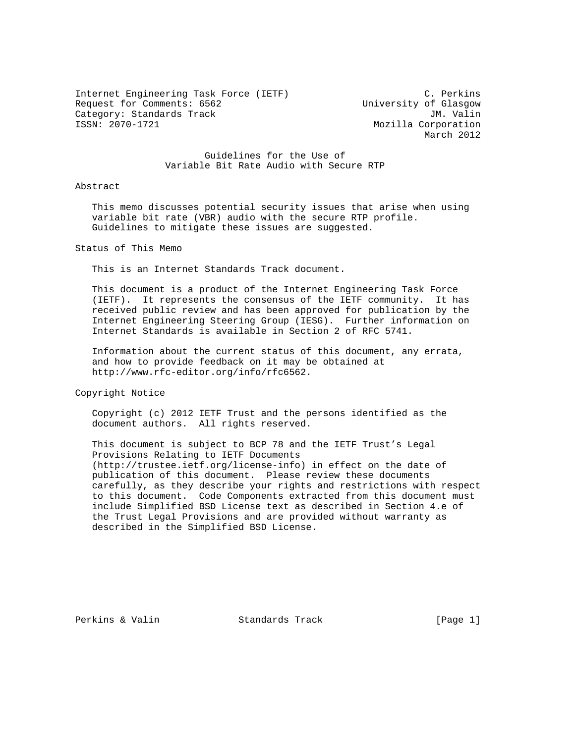Internet Engineering Task Force (IETF) C. Perkins Request for Comments: 6562<br>Category: Standards Track Category: JM. Valin Category: Standards Track<br>ISSN: 2070-1721

Mozilla Corporation March 2012

### Guidelines for the Use of Variable Bit Rate Audio with Secure RTP

#### Abstract

 This memo discusses potential security issues that arise when using variable bit rate (VBR) audio with the secure RTP profile. Guidelines to mitigate these issues are suggested.

Status of This Memo

This is an Internet Standards Track document.

 This document is a product of the Internet Engineering Task Force (IETF). It represents the consensus of the IETF community. It has received public review and has been approved for publication by the Internet Engineering Steering Group (IESG). Further information on Internet Standards is available in Section 2 of RFC 5741.

 Information about the current status of this document, any errata, and how to provide feedback on it may be obtained at http://www.rfc-editor.org/info/rfc6562.

Copyright Notice

 Copyright (c) 2012 IETF Trust and the persons identified as the document authors. All rights reserved.

 This document is subject to BCP 78 and the IETF Trust's Legal Provisions Relating to IETF Documents (http://trustee.ietf.org/license-info) in effect on the date of publication of this document. Please review these documents carefully, as they describe your rights and restrictions with respect to this document. Code Components extracted from this document must include Simplified BSD License text as described in Section 4.e of the Trust Legal Provisions and are provided without warranty as described in the Simplified BSD License.

Perkins & Valin Standards Track [Page 1]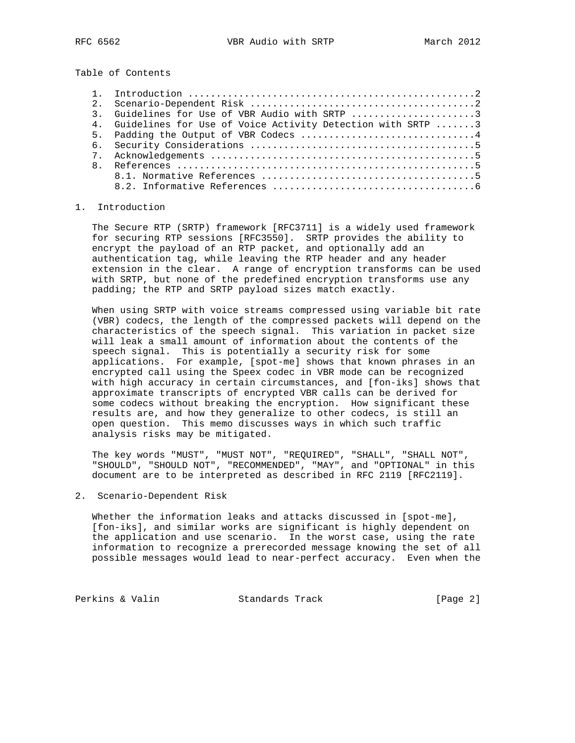Table of Contents

| 3. Guidelines for Use of VBR Audio with SRTP 3                |
|---------------------------------------------------------------|
| 4. Guidelines for Use of Voice Activity Detection with SRTP 3 |
| 5. Padding the Output of VBR Codecs 4                         |
|                                                               |
|                                                               |
|                                                               |
|                                                               |
|                                                               |

## 1. Introduction

 The Secure RTP (SRTP) framework [RFC3711] is a widely used framework for securing RTP sessions [RFC3550]. SRTP provides the ability to encrypt the payload of an RTP packet, and optionally add an authentication tag, while leaving the RTP header and any header extension in the clear. A range of encryption transforms can be used with SRTP, but none of the predefined encryption transforms use any padding; the RTP and SRTP payload sizes match exactly.

 When using SRTP with voice streams compressed using variable bit rate (VBR) codecs, the length of the compressed packets will depend on the characteristics of the speech signal. This variation in packet size will leak a small amount of information about the contents of the speech signal. This is potentially a security risk for some applications. For example, [spot-me] shows that known phrases in an encrypted call using the Speex codec in VBR mode can be recognized with high accuracy in certain circumstances, and [fon-iks] shows that approximate transcripts of encrypted VBR calls can be derived for some codecs without breaking the encryption. How significant these results are, and how they generalize to other codecs, is still an open question. This memo discusses ways in which such traffic analysis risks may be mitigated.

 The key words "MUST", "MUST NOT", "REQUIRED", "SHALL", "SHALL NOT", "SHOULD", "SHOULD NOT", "RECOMMENDED", "MAY", and "OPTIONAL" in this document are to be interpreted as described in RFC 2119 [RFC2119].

2. Scenario-Dependent Risk

 Whether the information leaks and attacks discussed in [spot-me], [fon-iks], and similar works are significant is highly dependent on the application and use scenario. In the worst case, using the rate information to recognize a prerecorded message knowing the set of all possible messages would lead to near-perfect accuracy. Even when the

Perkins & Valin Standards Track [Page 2]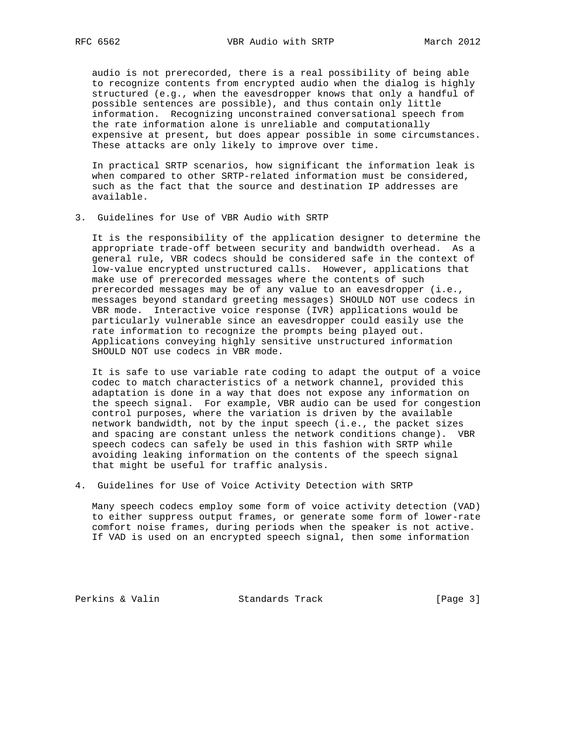audio is not prerecorded, there is a real possibility of being able to recognize contents from encrypted audio when the dialog is highly structured (e.g., when the eavesdropper knows that only a handful of possible sentences are possible), and thus contain only little information. Recognizing unconstrained conversational speech from the rate information alone is unreliable and computationally expensive at present, but does appear possible in some circumstances. These attacks are only likely to improve over time.

 In practical SRTP scenarios, how significant the information leak is when compared to other SRTP-related information must be considered, such as the fact that the source and destination IP addresses are available.

3. Guidelines for Use of VBR Audio with SRTP

 It is the responsibility of the application designer to determine the appropriate trade-off between security and bandwidth overhead. As a general rule, VBR codecs should be considered safe in the context of low-value encrypted unstructured calls. However, applications that make use of prerecorded messages where the contents of such prerecorded messages may be of any value to an eavesdropper (i.e., messages beyond standard greeting messages) SHOULD NOT use codecs in VBR mode. Interactive voice response (IVR) applications would be particularly vulnerable since an eavesdropper could easily use the rate information to recognize the prompts being played out. Applications conveying highly sensitive unstructured information SHOULD NOT use codecs in VBR mode.

 It is safe to use variable rate coding to adapt the output of a voice codec to match characteristics of a network channel, provided this adaptation is done in a way that does not expose any information on the speech signal. For example, VBR audio can be used for congestion control purposes, where the variation is driven by the available network bandwidth, not by the input speech (i.e., the packet sizes and spacing are constant unless the network conditions change). VBR speech codecs can safely be used in this fashion with SRTP while avoiding leaking information on the contents of the speech signal that might be useful for traffic analysis.

4. Guidelines for Use of Voice Activity Detection with SRTP

 Many speech codecs employ some form of voice activity detection (VAD) to either suppress output frames, or generate some form of lower-rate comfort noise frames, during periods when the speaker is not active. If VAD is used on an encrypted speech signal, then some information

Perkins & Valin Standards Track [Page 3]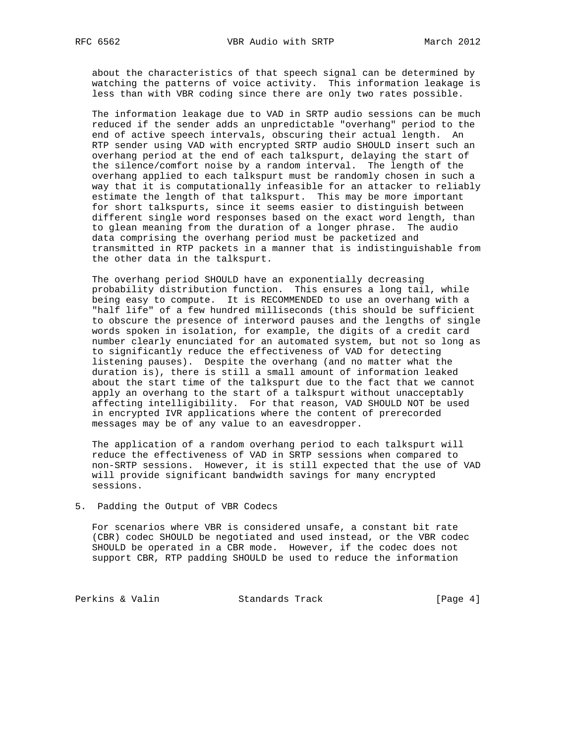about the characteristics of that speech signal can be determined by watching the patterns of voice activity. This information leakage is less than with VBR coding since there are only two rates possible.

 The information leakage due to VAD in SRTP audio sessions can be much reduced if the sender adds an unpredictable "overhang" period to the end of active speech intervals, obscuring their actual length. An RTP sender using VAD with encrypted SRTP audio SHOULD insert such an overhang period at the end of each talkspurt, delaying the start of the silence/comfort noise by a random interval. The length of the overhang applied to each talkspurt must be randomly chosen in such a way that it is computationally infeasible for an attacker to reliably estimate the length of that talkspurt. This may be more important for short talkspurts, since it seems easier to distinguish between different single word responses based on the exact word length, than to glean meaning from the duration of a longer phrase. The audio data comprising the overhang period must be packetized and transmitted in RTP packets in a manner that is indistinguishable from the other data in the talkspurt.

 The overhang period SHOULD have an exponentially decreasing probability distribution function. This ensures a long tail, while being easy to compute. It is RECOMMENDED to use an overhang with a "half life" of a few hundred milliseconds (this should be sufficient to obscure the presence of interword pauses and the lengths of single words spoken in isolation, for example, the digits of a credit card number clearly enunciated for an automated system, but not so long as to significantly reduce the effectiveness of VAD for detecting listening pauses). Despite the overhang (and no matter what the duration is), there is still a small amount of information leaked about the start time of the talkspurt due to the fact that we cannot apply an overhang to the start of a talkspurt without unacceptably affecting intelligibility. For that reason, VAD SHOULD NOT be used in encrypted IVR applications where the content of prerecorded messages may be of any value to an eavesdropper.

 The application of a random overhang period to each talkspurt will reduce the effectiveness of VAD in SRTP sessions when compared to non-SRTP sessions. However, it is still expected that the use of VAD will provide significant bandwidth savings for many encrypted sessions.

#### 5. Padding the Output of VBR Codecs

 For scenarios where VBR is considered unsafe, a constant bit rate (CBR) codec SHOULD be negotiated and used instead, or the VBR codec SHOULD be operated in a CBR mode. However, if the codec does not support CBR, RTP padding SHOULD be used to reduce the information

Perkins & Valin Standards Track [Page 4]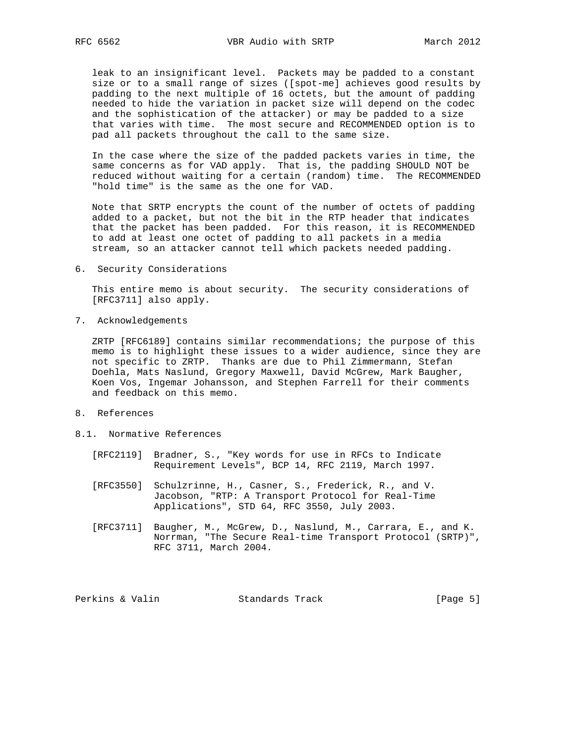leak to an insignificant level. Packets may be padded to a constant size or to a small range of sizes ([spot-me] achieves good results by padding to the next multiple of 16 octets, but the amount of padding needed to hide the variation in packet size will depend on the codec and the sophistication of the attacker) or may be padded to a size that varies with time. The most secure and RECOMMENDED option is to pad all packets throughout the call to the same size.

 In the case where the size of the padded packets varies in time, the same concerns as for VAD apply. That is, the padding SHOULD NOT be reduced without waiting for a certain (random) time. The RECOMMENDED "hold time" is the same as the one for VAD.

 Note that SRTP encrypts the count of the number of octets of padding added to a packet, but not the bit in the RTP header that indicates that the packet has been padded. For this reason, it is RECOMMENDED to add at least one octet of padding to all packets in a media stream, so an attacker cannot tell which packets needed padding.

6. Security Considerations

 This entire memo is about security. The security considerations of [RFC3711] also apply.

7. Acknowledgements

 ZRTP [RFC6189] contains similar recommendations; the purpose of this memo is to highlight these issues to a wider audience, since they are not specific to ZRTP. Thanks are due to Phil Zimmermann, Stefan Doehla, Mats Naslund, Gregory Maxwell, David McGrew, Mark Baugher, Koen Vos, Ingemar Johansson, and Stephen Farrell for their comments and feedback on this memo.

- 8. References
- 8.1. Normative References
	- [RFC2119] Bradner, S., "Key words for use in RFCs to Indicate Requirement Levels", BCP 14, RFC 2119, March 1997.
	- [RFC3550] Schulzrinne, H., Casner, S., Frederick, R., and V. Jacobson, "RTP: A Transport Protocol for Real-Time Applications", STD 64, RFC 3550, July 2003.
	- [RFC3711] Baugher, M., McGrew, D., Naslund, M., Carrara, E., and K. Norrman, "The Secure Real-time Transport Protocol (SRTP)", RFC 3711, March 2004.

Perkins & Valin Standards Track [Page 5]